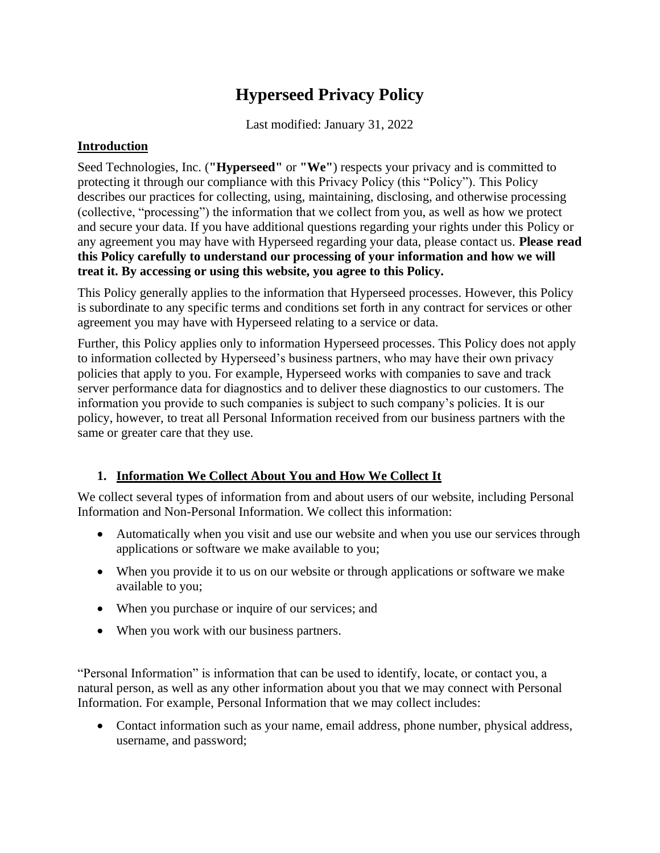# **Hyperseed Privacy Policy**

Last modified: January 31, 2022

#### **Introduction**

Seed Technologies, Inc. (**"Hyperseed"** or **"We"**) respects your privacy and is committed to protecting it through our compliance with this Privacy Policy (this "Policy"). This Policy describes our practices for collecting, using, maintaining, disclosing, and otherwise processing (collective, "processing") the information that we collect from you, as well as how we protect and secure your data. If you have additional questions regarding your rights under this Policy or any agreement you may have with Hyperseed regarding your data, please contact us. **Please read this Policy carefully to understand our processing of your information and how we will treat it. By accessing or using this website, you agree to this Policy.** 

This Policy generally applies to the information that Hyperseed processes. However, this Policy is subordinate to any specific terms and conditions set forth in any contract for services or other agreement you may have with Hyperseed relating to a service or data.

Further, this Policy applies only to information Hyperseed processes. This Policy does not apply to information collected by Hyperseed's business partners, who may have their own privacy policies that apply to you. For example, Hyperseed works with companies to save and track server performance data for diagnostics and to deliver these diagnostics to our customers. The information you provide to such companies is subject to such company's policies. It is our policy, however, to treat all Personal Information received from our business partners with the same or greater care that they use.

## **1. Information We Collect About You and How We Collect It**

We collect several types of information from and about users of our website, including Personal Information and Non-Personal Information. We collect this information:

- Automatically when you visit and use our website and when you use our services through applications or software we make available to you;
- When you provide it to us on our website or through applications or software we make available to you;
- When you purchase or inquire of our services; and
- When you work with our business partners.

"Personal Information" is information that can be used to identify, locate, or contact you, a natural person, as well as any other information about you that we may connect with Personal Information. For example, Personal Information that we may collect includes:

• Contact information such as your name, email address, phone number, physical address, username, and password;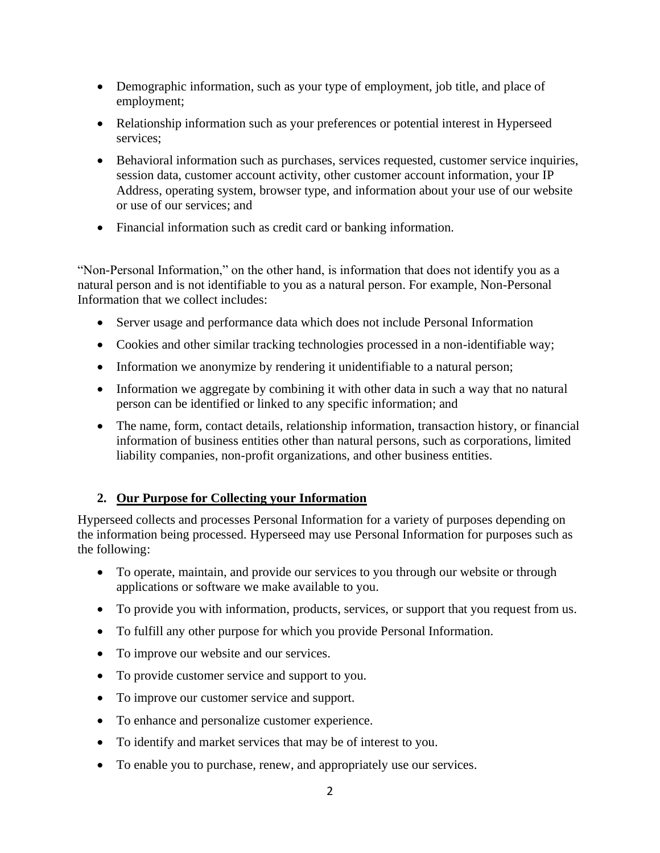- Demographic information, such as your type of employment, job title, and place of employment;
- Relationship information such as your preferences or potential interest in Hyperseed services;
- Behavioral information such as purchases, services requested, customer service inquiries, session data, customer account activity, other customer account information, your IP Address, operating system, browser type, and information about your use of our website or use of our services; and
- Financial information such as credit card or banking information.

"Non-Personal Information," on the other hand, is information that does not identify you as a natural person and is not identifiable to you as a natural person. For example, Non-Personal Information that we collect includes:

- Server usage and performance data which does not include Personal Information
- Cookies and other similar tracking technologies processed in a non-identifiable way;
- Information we anonymize by rendering it unidentifiable to a natural person;
- Information we aggregate by combining it with other data in such a way that no natural person can be identified or linked to any specific information; and
- The name, form, contact details, relationship information, transaction history, or financial information of business entities other than natural persons, such as corporations, limited liability companies, non-profit organizations, and other business entities.

## **2. Our Purpose for Collecting your Information**

Hyperseed collects and processes Personal Information for a variety of purposes depending on the information being processed. Hyperseed may use Personal Information for purposes such as the following:

- To operate, maintain, and provide our services to you through our website or through applications or software we make available to you.
- To provide you with information, products, services, or support that you request from us.
- To fulfill any other purpose for which you provide Personal Information.
- To improve our website and our services.
- To provide customer service and support to you.
- To improve our customer service and support.
- To enhance and personalize customer experience.
- To identify and market services that may be of interest to you.
- To enable you to purchase, renew, and appropriately use our services.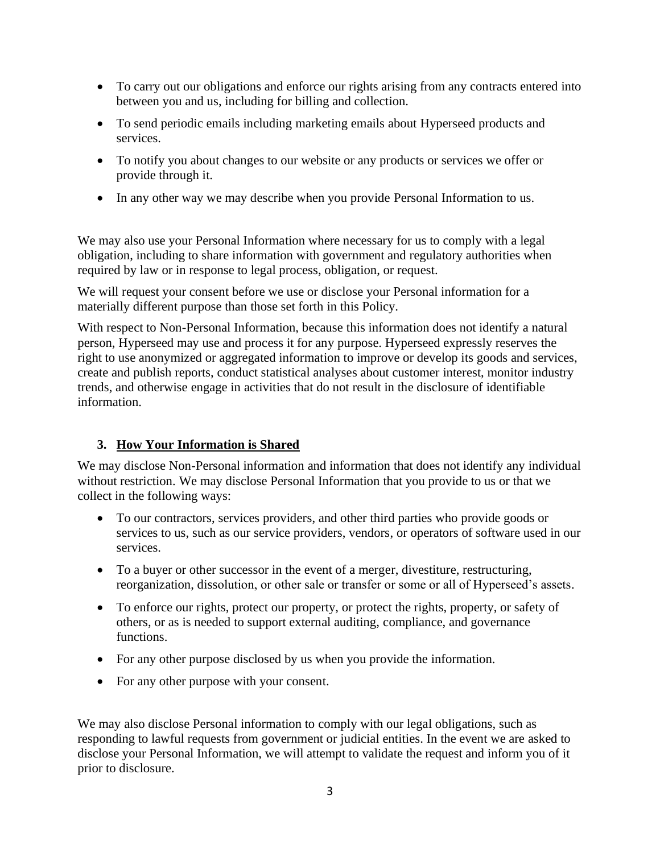- To carry out our obligations and enforce our rights arising from any contracts entered into between you and us, including for billing and collection.
- To send periodic emails including marketing emails about Hyperseed products and services.
- To notify you about changes to our website or any products or services we offer or provide through it.
- In any other way we may describe when you provide Personal Information to us.

We may also use your Personal Information where necessary for us to comply with a legal obligation, including to share information with government and regulatory authorities when required by law or in response to legal process, obligation, or request.

We will request your consent before we use or disclose your Personal information for a materially different purpose than those set forth in this Policy.

With respect to Non-Personal Information, because this information does not identify a natural person, Hyperseed may use and process it for any purpose. Hyperseed expressly reserves the right to use anonymized or aggregated information to improve or develop its goods and services, create and publish reports, conduct statistical analyses about customer interest, monitor industry trends, and otherwise engage in activities that do not result in the disclosure of identifiable information.

## **3. How Your Information is Shared**

We may disclose Non-Personal information and information that does not identify any individual without restriction. We may disclose Personal Information that you provide to us or that we collect in the following ways:

- To our contractors, services providers, and other third parties who provide goods or services to us, such as our service providers, vendors, or operators of software used in our services.
- To a buyer or other successor in the event of a merger, divestiture, restructuring, reorganization, dissolution, or other sale or transfer or some or all of Hyperseed's assets.
- To enforce our rights, protect our property, or protect the rights, property, or safety of others, or as is needed to support external auditing, compliance, and governance functions.
- For any other purpose disclosed by us when you provide the information.
- For any other purpose with your consent.

We may also disclose Personal information to comply with our legal obligations, such as responding to lawful requests from government or judicial entities. In the event we are asked to disclose your Personal Information, we will attempt to validate the request and inform you of it prior to disclosure.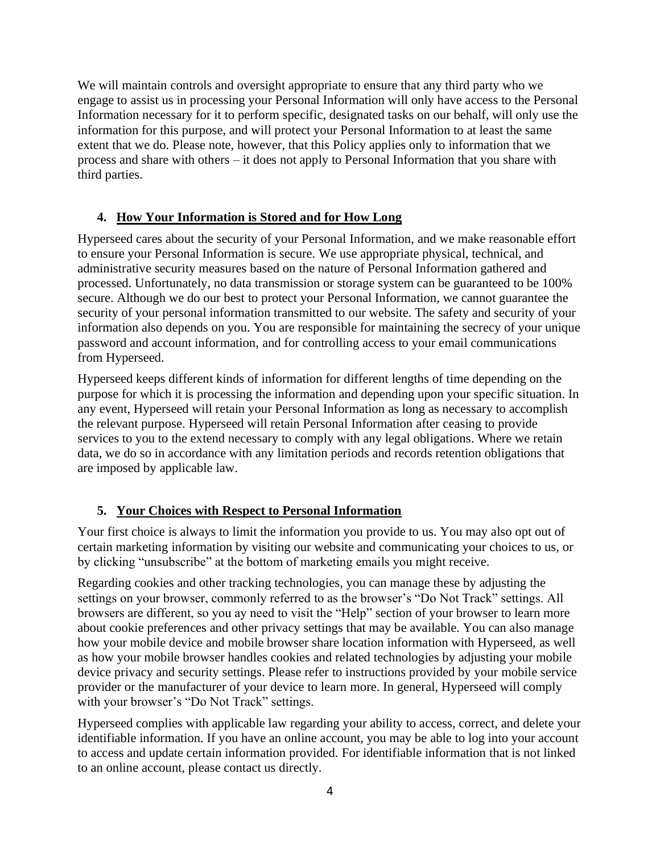We will maintain controls and oversight appropriate to ensure that any third party who we engage to assist us in processing your Personal Information will only have access to the Personal Information necessary for it to perform specific, designated tasks on our behalf, will only use the information for this purpose, and will protect your Personal Information to at least the same extent that we do. Please note, however, that this Policy applies only to information that we process and share with others – it does not apply to Personal Information that you share with third parties.

## **4. How Your Information is Stored and for How Long**

Hyperseed cares about the security of your Personal Information, and we make reasonable effort to ensure your Personal Information is secure. We use appropriate physical, technical, and administrative security measures based on the nature of Personal Information gathered and processed. Unfortunately, no data transmission or storage system can be guaranteed to be 100% secure. Although we do our best to protect your Personal Information, we cannot guarantee the security of your personal information transmitted to our website. The safety and security of your information also depends on you. You are responsible for maintaining the secrecy of your unique password and account information, and for controlling access to your email communications from Hyperseed.

Hyperseed keeps different kinds of information for different lengths of time depending on the purpose for which it is processing the information and depending upon your specific situation. In any event, Hyperseed will retain your Personal Information as long as necessary to accomplish the relevant purpose. Hyperseed will retain Personal Information after ceasing to provide services to you to the extend necessary to comply with any legal obligations. Where we retain data, we do so in accordance with any limitation periods and records retention obligations that are imposed by applicable law.

## **5. Your Choices with Respect to Personal Information**

Your first choice is always to limit the information you provide to us. You may also opt out of certain marketing information by visiting our website and communicating your choices to us, or by clicking "unsubscribe" at the bottom of marketing emails you might receive.

Regarding cookies and other tracking technologies, you can manage these by adjusting the settings on your browser, commonly referred to as the browser's "Do Not Track" settings. All browsers are different, so you ay need to visit the "Help" section of your browser to learn more about cookie preferences and other privacy settings that may be available. You can also manage how your mobile device and mobile browser share location information with Hyperseed, as well as how your mobile browser handles cookies and related technologies by adjusting your mobile device privacy and security settings. Please refer to instructions provided by your mobile service provider or the manufacturer of your device to learn more. In general, Hyperseed will comply with your browser's "Do Not Track" settings.

Hyperseed complies with applicable law regarding your ability to access, correct, and delete your identifiable information. If you have an online account, you may be able to log into your account to access and update certain information provided. For identifiable information that is not linked to an online account, please contact us directly.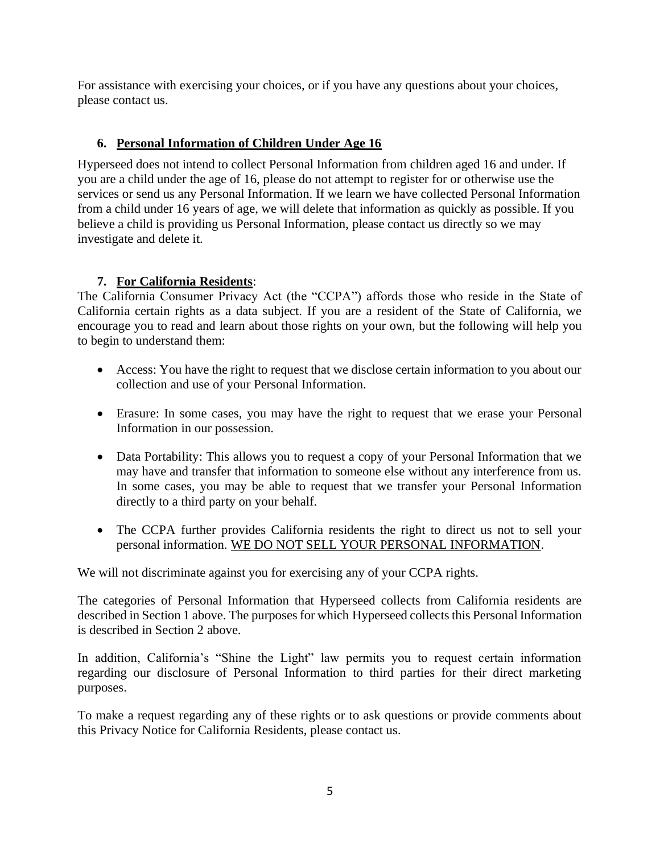For assistance with exercising your choices, or if you have any questions about your choices, please contact us.

#### **6. Personal Information of Children Under Age 16**

Hyperseed does not intend to collect Personal Information from children aged 16 and under. If you are a child under the age of 16, please do not attempt to register for or otherwise use the services or send us any Personal Information. If we learn we have collected Personal Information from a child under 16 years of age, we will delete that information as quickly as possible. If you believe a child is providing us Personal Information, please contact us directly so we may investigate and delete it.

#### **7. For California Residents**:

The California Consumer Privacy Act (the "CCPA") affords those who reside in the State of California certain rights as a data subject. If you are a resident of the State of California, we encourage you to read and learn about those rights on your own, but the following will help you to begin to understand them:

- Access: You have the right to request that we disclose certain information to you about our collection and use of your Personal Information.
- Erasure: In some cases, you may have the right to request that we erase your Personal Information in our possession.
- Data Portability: This allows you to request a copy of your Personal Information that we may have and transfer that information to someone else without any interference from us. In some cases, you may be able to request that we transfer your Personal Information directly to a third party on your behalf.
- The CCPA further provides California residents the right to direct us not to sell your personal information. WE DO NOT SELL YOUR PERSONAL INFORMATION.

We will not discriminate against you for exercising any of your CCPA rights.

The categories of Personal Information that Hyperseed collects from California residents are described in Section 1 above. The purposes for which Hyperseed collects this Personal Information is described in Section 2 above.

In addition, California's "Shine the Light" law permits you to request certain information regarding our disclosure of Personal Information to third parties for their direct marketing purposes.

To make a request regarding any of these rights or to ask questions or provide comments about this Privacy Notice for California Residents, please contact us.